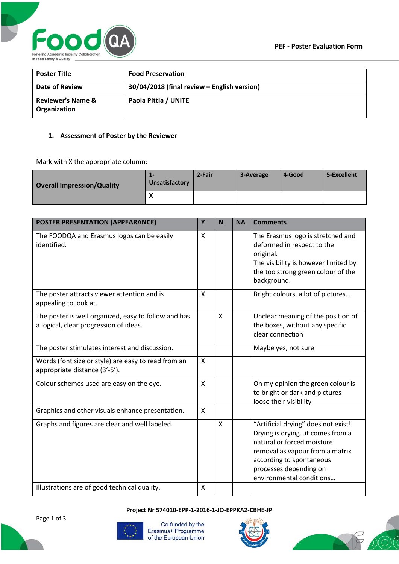

| <b>Poster Title</b>                          | <b>Food Preservation</b>                    |
|----------------------------------------------|---------------------------------------------|
| Date of Review                               | 30/04/2018 (final review - English version) |
| <b>Reviewer's Name &amp;</b><br>Organization | Paola Pittla / UNITE                        |

## **1. Assessment of Poster by the Reviewer**

Mark with X the appropriate column:

| <b>Overall Impression/Quality</b> | 1-<br>Unsatisfactory | 2-Fair | 3-Average | 4-Good | 5-Excellent |
|-----------------------------------|----------------------|--------|-----------|--------|-------------|
|                                   | $\mathbf{v}$         |        |           |        |             |

| POSTER PRESENTATION (APPEARANCE)                                                               | Y | N | <b>NA</b> | <b>Comments</b>                                                                                                                                                                                                           |
|------------------------------------------------------------------------------------------------|---|---|-----------|---------------------------------------------------------------------------------------------------------------------------------------------------------------------------------------------------------------------------|
| The FOODQA and Erasmus logos can be easily<br>identified.                                      | X |   |           | The Erasmus logo is stretched and<br>deformed in respect to the<br>original.<br>The visibility is however limited by<br>the too strong green colour of the<br>background.                                                 |
| The poster attracts viewer attention and is<br>appealing to look at.                           | X |   |           | Bright colours, a lot of pictures                                                                                                                                                                                         |
| The poster is well organized, easy to follow and has<br>a logical, clear progression of ideas. |   | X |           | Unclear meaning of the position of<br>the boxes, without any specific<br>clear connection                                                                                                                                 |
| The poster stimulates interest and discussion.                                                 |   |   |           | Maybe yes, not sure                                                                                                                                                                                                       |
| Words (font size or style) are easy to read from an<br>appropriate distance (3'-5').           | X |   |           |                                                                                                                                                                                                                           |
| Colour schemes used are easy on the eye.                                                       | X |   |           | On my opinion the green colour is<br>to bright or dark and pictures<br>loose their visibility                                                                                                                             |
| Graphics and other visuals enhance presentation.                                               | X |   |           |                                                                                                                                                                                                                           |
| Graphs and figures are clear and well labeled.                                                 |   | X |           | "Artificial drying" does not exist!<br>Drying is dryingit comes from a<br>natural or forced moisture<br>removal as vapour from a matrix<br>according to spontaneous<br>processes depending on<br>environmental conditions |
| Illustrations are of good technical quality.                                                   | X |   |           |                                                                                                                                                                                                                           |

**Project Nr 574010-EPP-1-2016-1-JO-EPPKA2-CBHE-JP**



Co-funded by the Erasmus+ Programme of the European Union



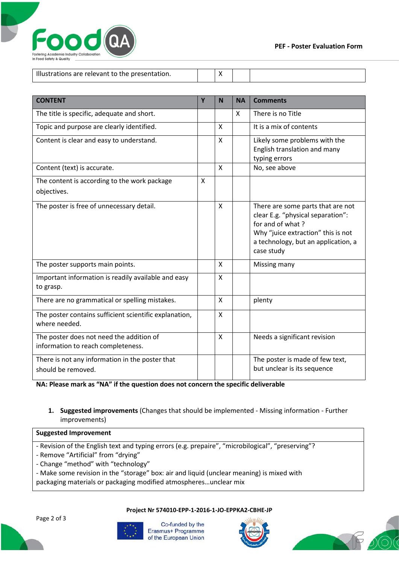

| Illustrations are relevant to the presentation. |  |  |
|-------------------------------------------------|--|--|

| <b>CONTENT</b>                                                                 | Y | N            | <b>NA</b> | <b>Comments</b>                                                                                                                                                                       |
|--------------------------------------------------------------------------------|---|--------------|-----------|---------------------------------------------------------------------------------------------------------------------------------------------------------------------------------------|
| The title is specific, adequate and short.                                     |   |              | X         | There is no Title                                                                                                                                                                     |
| Topic and purpose are clearly identified.                                      |   | X            |           | It is a mix of contents                                                                                                                                                               |
| Content is clear and easy to understand.                                       |   | X            |           | Likely some problems with the<br>English translation and many<br>typing errors                                                                                                        |
| Content (text) is accurate.                                                    |   | X            |           | No, see above                                                                                                                                                                         |
| The content is according to the work package<br>objectives.                    | Χ |              |           |                                                                                                                                                                                       |
| The poster is free of unnecessary detail.                                      |   | X            |           | There are some parts that are not<br>clear E.g. "physical separation":<br>for and of what?<br>Why "juice extraction" this is not<br>a technology, but an application, a<br>case study |
| The poster supports main points.                                               |   | X            |           | Missing many                                                                                                                                                                          |
| Important information is readily available and easy<br>to grasp.               |   | $\mathsf{x}$ |           |                                                                                                                                                                                       |
| There are no grammatical or spelling mistakes.                                 |   | $\mathsf{x}$ |           | plenty                                                                                                                                                                                |
| The poster contains sufficient scientific explanation,<br>where needed.        |   | X            |           |                                                                                                                                                                                       |
| The poster does not need the addition of<br>information to reach completeness. |   | X            |           | Needs a significant revision                                                                                                                                                          |
| There is not any information in the poster that<br>should be removed.          |   |              |           | The poster is made of few text,<br>but unclear is its sequence                                                                                                                        |

**NA: Please mark as "NA" if the question does not concern the specific deliverable**

**1. Suggested improvements** (Changes that should be implemented - Missing information - Further improvements)

### **Suggested Improvement**

- Revision of the English text and typing errors (e.g. prepaire", "microbilogical", "preserving"?
- Remove "Artificial" from "drying"
- Change "method" with "technology"
- Make some revision in the "storage" box: air and liquid (unclear meaning) is mixed with
- packaging materials or packaging modified atmospheres…unclear mix

Page 2 of 3





Co-funded by the Erasmus+ Programme of the European Union